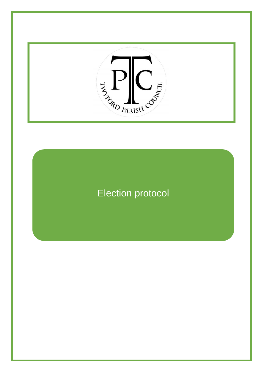

## Election protocol